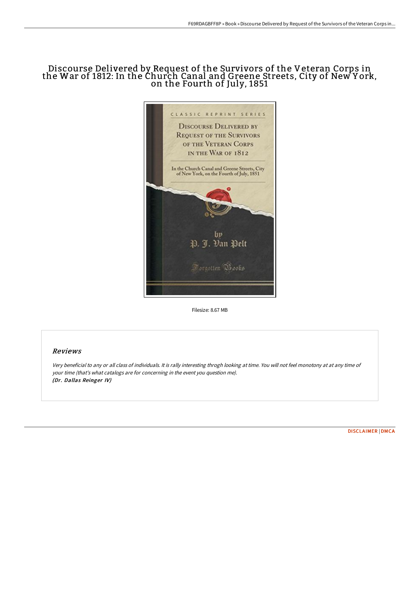## Discourse Delivered by Request of the Survivors of the Veteran Corps in the War of 1812: In the Church Canal and Greene Streets, City of New York, on the Fourth of July, 1851



Filesize: 8.67 MB

## Reviews

Very beneficial to any or all class of individuals. It is rally interesting throgh looking at time. You will not feel monotony at at any time of your time (that's what catalogs are for concerning in the event you question me). (Dr. Dallas Reinger IV)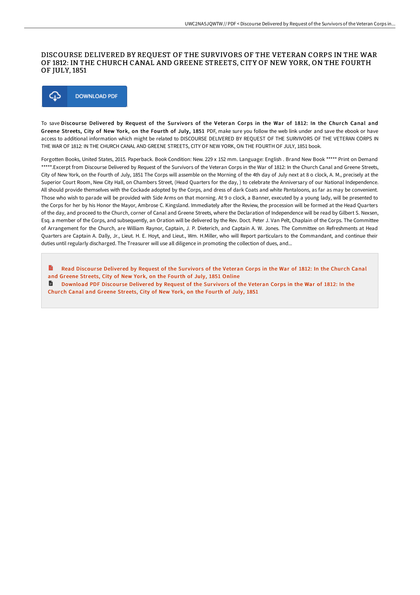## DISCOURSE DELIVERED BY REQUEST OF THE SURVIVORS OF THE VETERAN CORPS IN THE WAR OF 1812: IN THE CHURCH CANAL AND GREENE STREETS, CITY OF NEW YORK, ON THE FOURTH OF JULY, 1851



To save Discourse Delivered by Request of the Survivors of the Veteran Corps in the War of 1812: In the Church Canal and Greene Streets, City of New York, on the Fourth of July, 1851 PDF, make sure you follow the web link under and save the ebook or have access to additional information which might be related to DISCOURSE DELIVERED BY REQUEST OF THE SURVIVORS OF THE VETERAN CORPS IN THE WAR OF 1812: IN THE CHURCH CANAL AND GREENE STREETS, CITY OF NEW YORK, ON THE FOURTH OF JULY, 1851 book.

Forgotten Books, United States, 2015. Paperback. Book Condition: New. 229 x 152 mm. Language: English . Brand New Book \*\*\*\*\* Print on Demand \*\*\*\*\*.Excerpt from Discourse Delivered by Request of the Survivors of the Veteran Corps in the War of 1812: In the Church Canal and Greene Streets, City of New York, on the Fourth of July, 1851 The Corps will assemble on the Morning of the 4th day of July next at 8 o clock, A. M., precisely at the Superior Court Room, New City Hall, on Chambers Street, (Head Quarters for the day, ) to celebrate the Anniversary of our National Independence. All should provide themselves with the Cockade adopted by the Corps, and dress of dark Coats and white Pantaloons, as far as may be convenient. Those who wish to parade will be provided with Side Arms on that morning. At 9 o clock, a Banner, executed by a young lady, will be presented to the Corps for her by his Honor the Mayor, Ambrose C. Kingsland. Immediately after the Review, the procession will be formed at the Head Quarters of the day, and proceed to the Church, corner of Canal and Greene Streets, where the Declaration of Independence will be read by Gilbert S. Nexsen, Esq. a member of the Corps, and subsequently, an Oration will be delivered by the Rev. Doct. Peter J. Van Pelt, Chaplain of the Corps. The Committee of Arrangement for the Church, are William Raynor, Captain, J. P. Dieterich, and Captain A. W. Jones. The Committee on Refreshments at Head Quarters are Captain A. Dally, Jr., Lieut. H. E. Hoyt, and Lieut., Wm. H.Miller, who will Report particulars to the Commandant, and continue their duties until regularly discharged. The Treasurer will use all diligence in promoting the collection of dues, and...

Read Discourse [Delivered](http://techno-pub.tech/discourse-delivered-by-request-of-the-survivors-.html) by Request of the Survivors of the Veteran Corps in the War of 1812: In the Church Canal and Greene Streets, City of New York, on the Fourth of July, 1851 Online **D** [Download](http://techno-pub.tech/discourse-delivered-by-request-of-the-survivors-.html) PDF Discourse Delivered by Request of the Survivors of the Veteran Corps in the War of 1812: In the Church Canal and Greene Streets, City of New York, on the Fourth of July, 1851